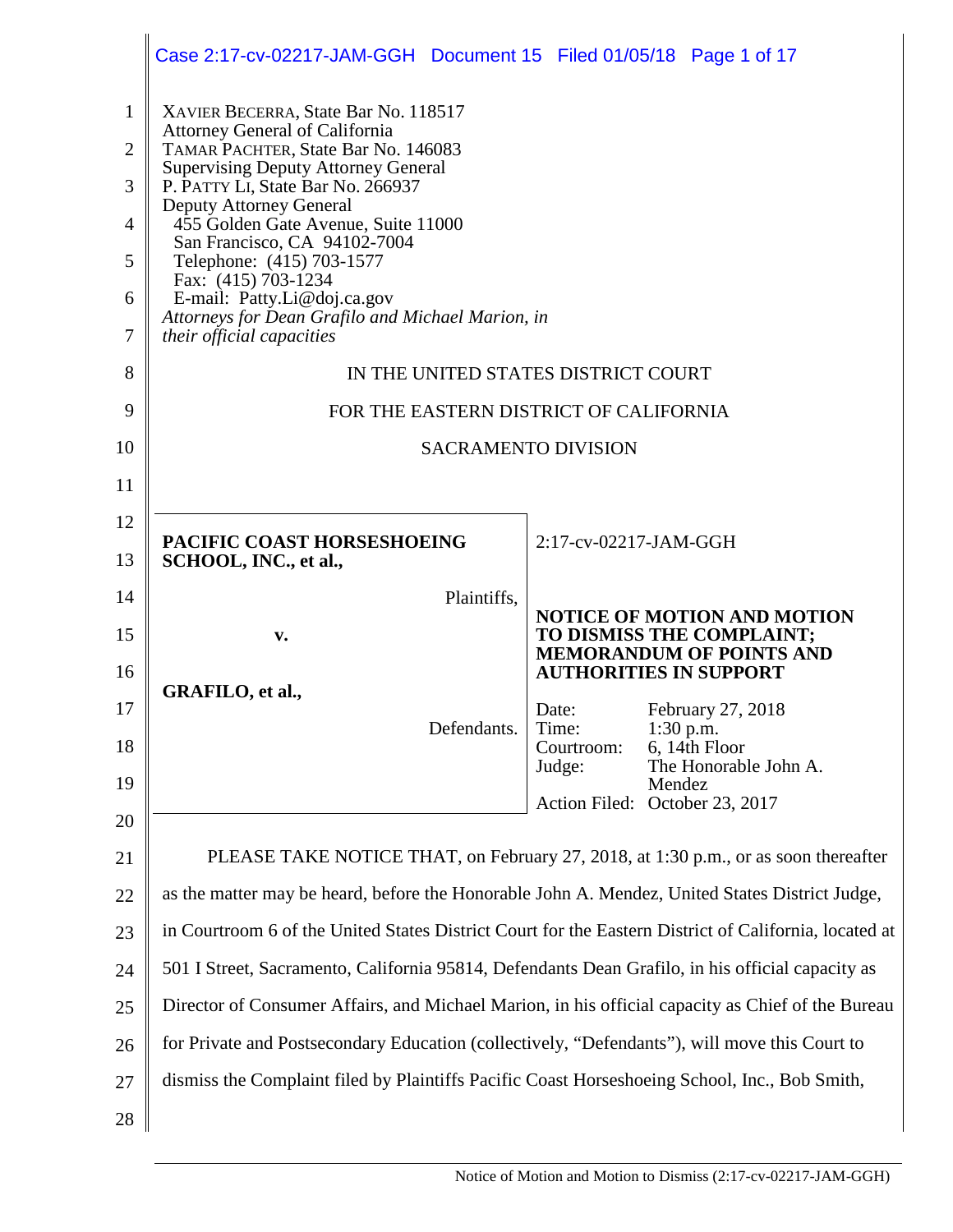|                | Case 2:17-cv-02217-JAM-GGH  Document 15  Filed 01/05/18  Page 1 of 17                                 |                                |        |                                                                 |
|----------------|-------------------------------------------------------------------------------------------------------|--------------------------------|--------|-----------------------------------------------------------------|
| $\mathbf{1}$   | XAVIER BECERRA, State Bar No. 118517                                                                  |                                |        |                                                                 |
| $\overline{2}$ | <b>Attorney General of California</b><br>TAMAR PACHTER, State Bar No. 146083                          |                                |        |                                                                 |
| 3              | <b>Supervising Deputy Attorney General</b><br>P. PATTY LI, State Bar No. 266937                       |                                |        |                                                                 |
| $\overline{4}$ | Deputy Attorney General<br>455 Golden Gate Avenue, Suite 11000                                        |                                |        |                                                                 |
| 5              | San Francisco, CA 94102-7004<br>Telephone: (415) 703-1577                                             |                                |        |                                                                 |
| 6              | Fax: (415) 703-1234<br>E-mail: Patty.Li@doj.ca.gov                                                    |                                |        |                                                                 |
| $\overline{7}$ | Attorneys for Dean Grafilo and Michael Marion, in<br>their official capacities                        |                                |        |                                                                 |
| 8              | IN THE UNITED STATES DISTRICT COURT                                                                   |                                |        |                                                                 |
| 9              | FOR THE EASTERN DISTRICT OF CALIFORNIA                                                                |                                |        |                                                                 |
| 10             |                                                                                                       | <b>SACRAMENTO DIVISION</b>     |        |                                                                 |
| 11             |                                                                                                       |                                |        |                                                                 |
| 12             |                                                                                                       |                                |        |                                                                 |
| 13             | PACIFIC COAST HORSESHOEING<br>SCHOOL, INC., et al.,                                                   | 2:17-cv-02217-JAM-GGH          |        |                                                                 |
| 14             | Plaintiffs,                                                                                           |                                |        |                                                                 |
| 15             | V.                                                                                                    |                                |        | <b>NOTICE OF MOTION AND MOTION</b><br>TO DISMISS THE COMPLAINT; |
| 16             |                                                                                                       | <b>AUTHORITIES IN SUPPORT</b>  |        | <b>MEMORANDUM OF POINTS AND</b>                                 |
| 17             | GRAFILO, et al.,                                                                                      | Date:                          |        | February 27, 2018                                               |
| 18             | Defendants.                                                                                           | Time:<br>Courtroom:            |        | $1:30$ p.m.<br>6, 14th Floor                                    |
| 19             |                                                                                                       | Judge:                         | Mendez | The Honorable John A.                                           |
| 20             |                                                                                                       | Action Filed: October 23, 2017 |        |                                                                 |
| 21             | PLEASE TAKE NOTICE THAT, on February 27, 2018, at 1:30 p.m., or as soon thereafter                    |                                |        |                                                                 |
| 22             | as the matter may be heard, before the Honorable John A. Mendez, United States District Judge,        |                                |        |                                                                 |
| 23             | in Courtroom 6 of the United States District Court for the Eastern District of California, located at |                                |        |                                                                 |
| 24             | 501 I Street, Sacramento, California 95814, Defendants Dean Grafilo, in his official capacity as      |                                |        |                                                                 |
| 25             | Director of Consumer Affairs, and Michael Marion, in his official capacity as Chief of the Bureau     |                                |        |                                                                 |
| 26             | for Private and Postsecondary Education (collectively, "Defendants"), will move this Court to         |                                |        |                                                                 |
|                |                                                                                                       |                                |        |                                                                 |
| 27             | dismiss the Complaint filed by Plaintiffs Pacific Coast Horseshoeing School, Inc., Bob Smith,         |                                |        |                                                                 |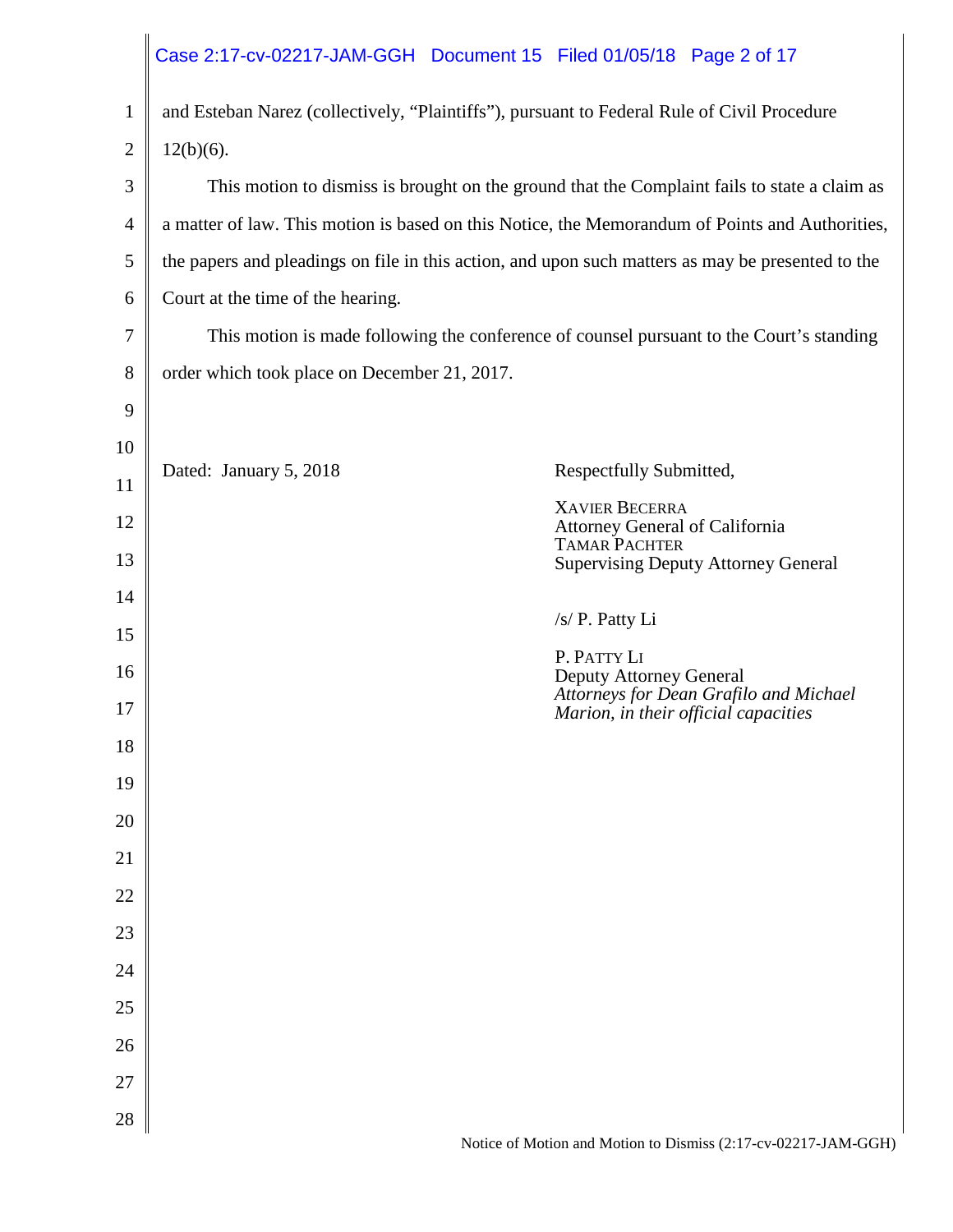|                |                                              | Case 2:17-cv-02217-JAM-GGH  Document 15  Filed 01/05/18  Page 2 of 17                             |
|----------------|----------------------------------------------|---------------------------------------------------------------------------------------------------|
| $\mathbf{1}$   |                                              | and Esteban Narez (collectively, "Plaintiffs"), pursuant to Federal Rule of Civil Procedure       |
| $\overline{2}$ | $12(b)(6)$ .                                 |                                                                                                   |
| 3              |                                              | This motion to dismiss is brought on the ground that the Complaint fails to state a claim as      |
| $\overline{4}$ |                                              | a matter of law. This motion is based on this Notice, the Memorandum of Points and Authorities,   |
| 5              |                                              | the papers and pleadings on file in this action, and upon such matters as may be presented to the |
| 6              | Court at the time of the hearing.            |                                                                                                   |
| 7              |                                              | This motion is made following the conference of counsel pursuant to the Court's standing          |
| 8              | order which took place on December 21, 2017. |                                                                                                   |
| 9              |                                              |                                                                                                   |
| 10             | Dated: January 5, 2018                       | Respectfully Submitted,                                                                           |
| 11             |                                              | <b>XAVIER BECERRA</b>                                                                             |
| 12             |                                              | Attorney General of California<br><b>TAMAR PACHTER</b>                                            |
| 13             |                                              | <b>Supervising Deputy Attorney General</b>                                                        |
| 14             |                                              | /s/ P. Patty Li                                                                                   |
| 15             |                                              | P. PATTY LI                                                                                       |
| 16             |                                              | Deputy Attorney General<br>Attorneys for Dean Grafilo and Michael                                 |
| 17             |                                              | Marion, in their official capacities                                                              |
| 18             |                                              |                                                                                                   |
| 19             |                                              |                                                                                                   |
| 20             |                                              |                                                                                                   |
| 21             |                                              |                                                                                                   |
| 22             |                                              |                                                                                                   |
| 23             |                                              |                                                                                                   |
| 24             |                                              |                                                                                                   |
| 25<br>26       |                                              |                                                                                                   |
| 27             |                                              |                                                                                                   |
| 28             |                                              |                                                                                                   |
|                |                                              |                                                                                                   |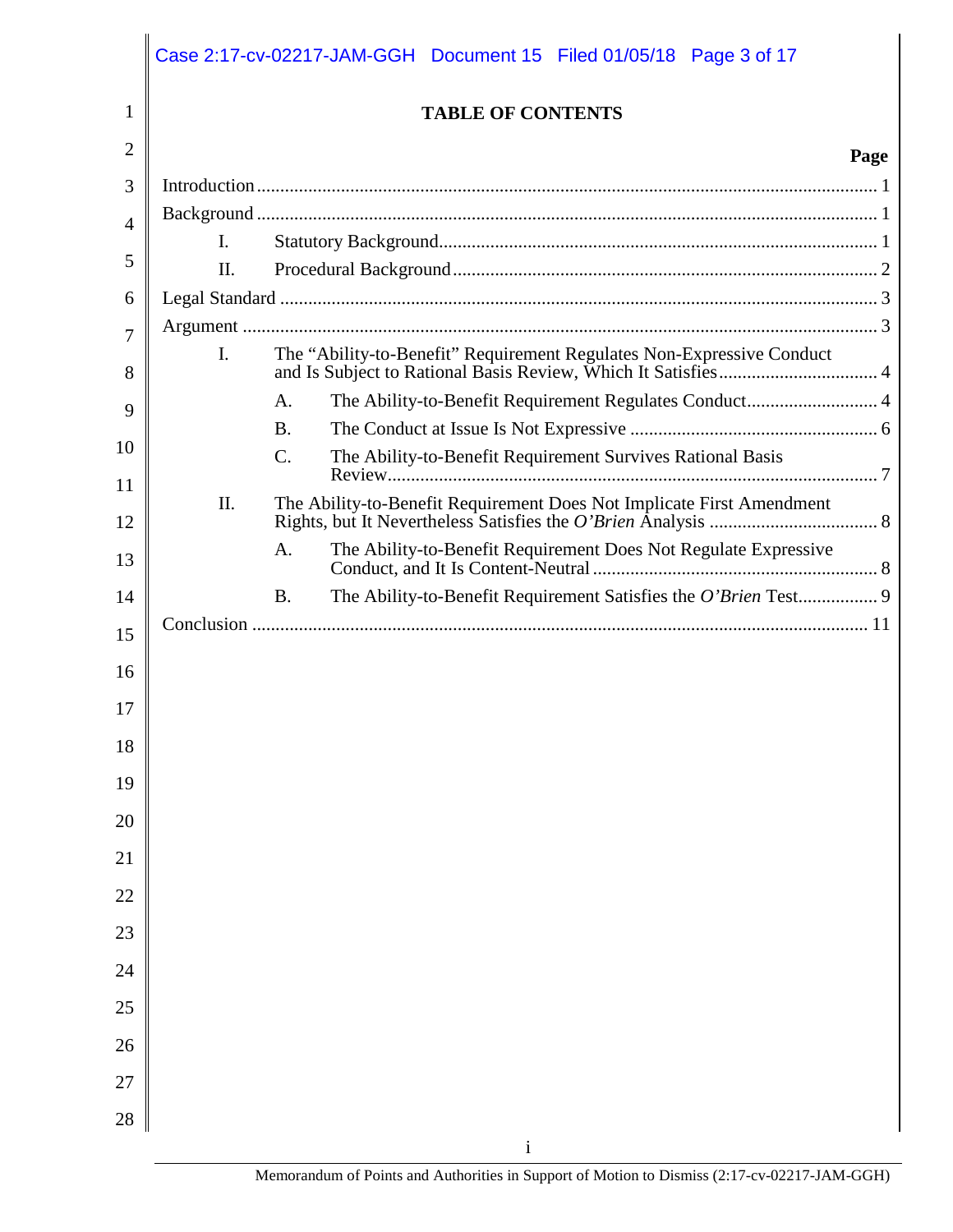|          |                | Case 2:17-cv-02217-JAM-GGH  Document 15  Filed 01/05/18  Page 3 of 17         |
|----------|----------------|-------------------------------------------------------------------------------|
| 1        |                | <b>TABLE OF CONTENTS</b>                                                      |
| 2        |                | Page                                                                          |
| 3        |                |                                                                               |
| 4        |                |                                                                               |
| 5        | $\mathbf{I}$ . |                                                                               |
|          | II.            |                                                                               |
| 6        |                |                                                                               |
| 7        | $\mathbf{I}$ . | The "Ability-to-Benefit" Requirement Regulates Non-Expressive Conduct         |
| 8        |                |                                                                               |
| 9        |                | The Ability-to-Benefit Requirement Regulates Conduct 4<br>A.                  |
| 10       |                | <b>B.</b>                                                                     |
| 11       |                | The Ability-to-Benefit Requirement Survives Rational Basis<br>$\mathcal{C}$ . |
| 12       | II.            | The Ability-to-Benefit Requirement Does Not Implicate First Amendment         |
| 13       |                | The Ability-to-Benefit Requirement Does Not Regulate Expressive<br>A.         |
| 14       |                | <b>B.</b>                                                                     |
| 15       |                |                                                                               |
| 16       |                |                                                                               |
| 17       |                |                                                                               |
| 18       |                |                                                                               |
| 19       |                |                                                                               |
| 20       |                |                                                                               |
| 21       |                |                                                                               |
| 22       |                |                                                                               |
| 23       |                |                                                                               |
| 24       |                |                                                                               |
| 25<br>26 |                |                                                                               |
| 27       |                |                                                                               |
| 28       |                |                                                                               |
|          |                | $\mathbf{i}$                                                                  |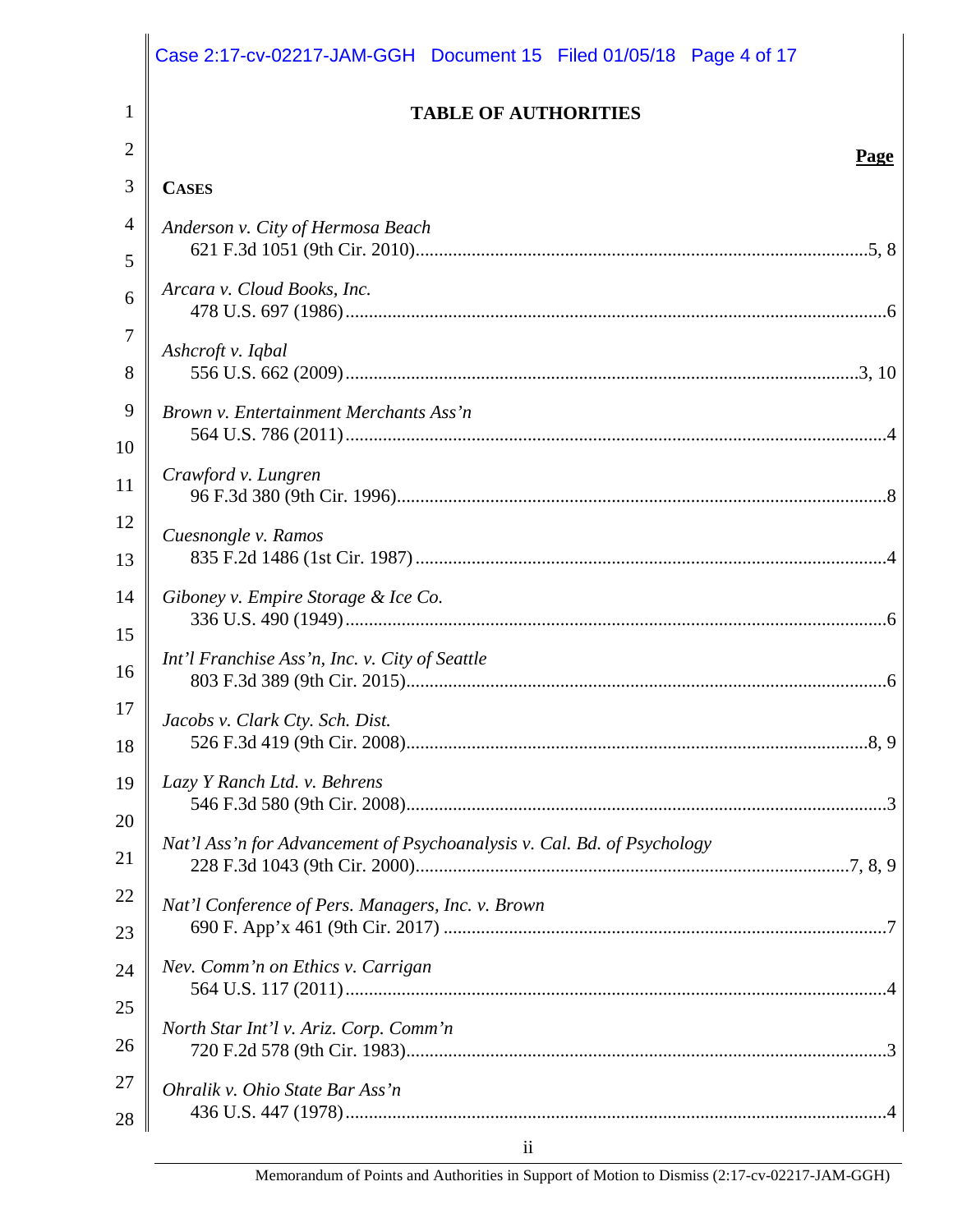|                | Case 2:17-cv-02217-JAM-GGH Document 15 Filed 01/05/18 Page 4 of 17      |
|----------------|-------------------------------------------------------------------------|
| $\mathbf{1}$   | <b>TABLE OF AUTHORITIES</b>                                             |
| $\overline{2}$ | Page                                                                    |
| 3              | <b>CASES</b>                                                            |
| $\overline{4}$ | Anderson v. City of Hermosa Beach                                       |
| 5              |                                                                         |
| 6              | Arcara v. Cloud Books, Inc.                                             |
| 7              |                                                                         |
| 8              | Ashcroft v. Iqbal                                                       |
| 9              | Brown v. Entertainment Merchants Ass'n                                  |
| 10             |                                                                         |
| 11             | Crawford v. Lungren                                                     |
| 12             | Cuesnongle v. Ramos                                                     |
| 13             |                                                                         |
| 14             | Giboney v. Empire Storage & Ice Co.                                     |
| 15             |                                                                         |
| 16             | Int'l Franchise Ass'n, Inc. v. City of Seattle                          |
| 17             | Jacobs v. Clark Cty. Sch. Dist.                                         |
| 18             |                                                                         |
| 19             | Lazy Y Ranch Ltd. v. Behrens                                            |
| 20             |                                                                         |
| 21             | Nat'l Ass'n for Advancement of Psychoanalysis v. Cal. Bd. of Psychology |
| 22             | Nat'l Conference of Pers. Managers, Inc. v. Brown                       |
| 23             |                                                                         |
| 24             | Nev. Comm'n on Ethics v. Carrigan                                       |
| 25             | North Star Int'l v. Ariz. Corp. Comm'n                                  |
| 26             |                                                                         |
| 27             | Ohralik v. Ohio State Bar Ass'n                                         |
| 28             |                                                                         |
|                | $\overline{11}$                                                         |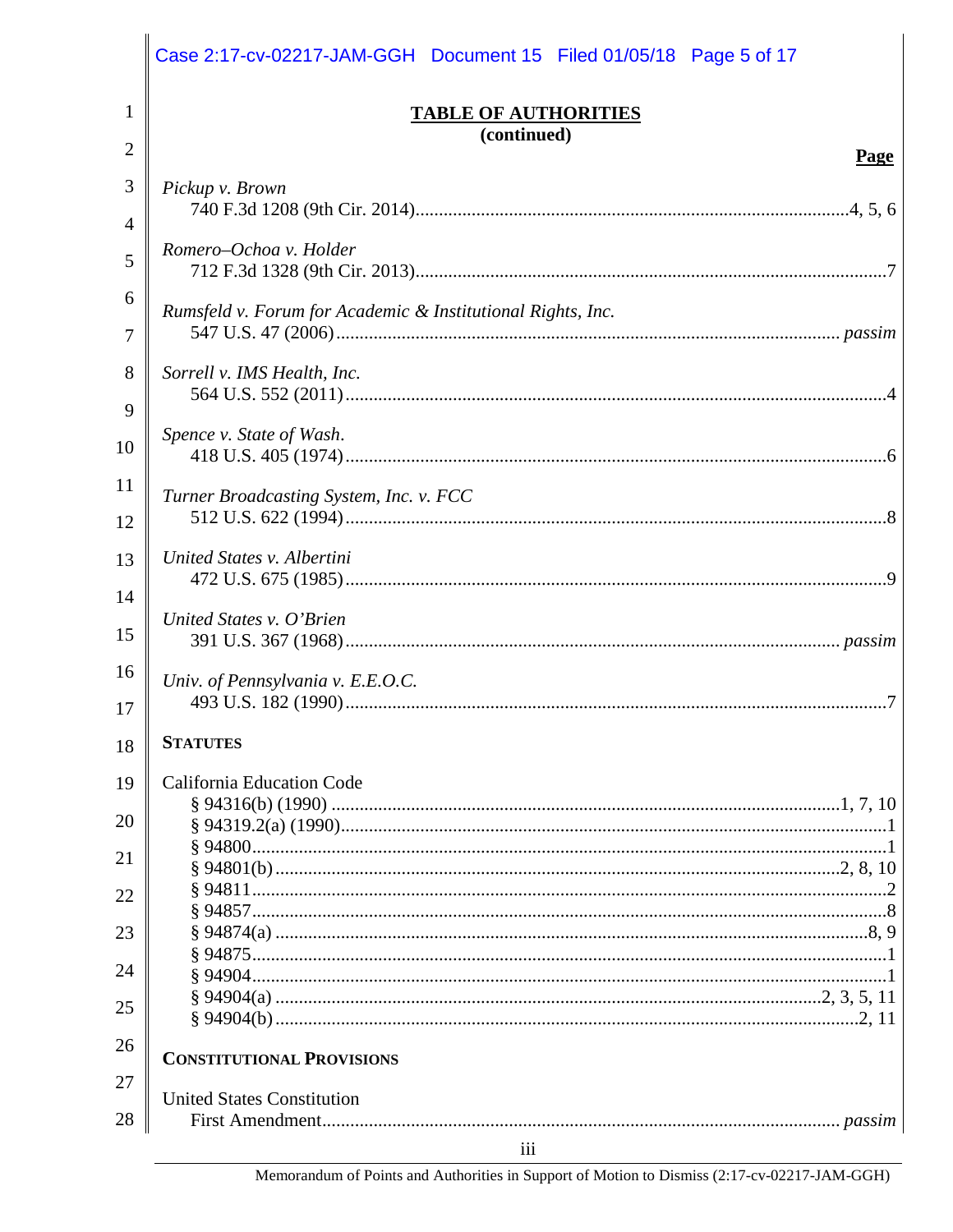|          | Case 2:17-cv-02217-JAM-GGH Document 15 Filed 01/05/18 Page 5 of 17 |
|----------|--------------------------------------------------------------------|
| 1        | <b>TABLE OF AUTHORITIES</b>                                        |
| 2        | (continued)<br>Page                                                |
| 3        | Pickup v. Brown                                                    |
| 4        |                                                                    |
| 5        | Romero-Ochoa v. Holder                                             |
| 6<br>7   | Rumsfeld v. Forum for Academic & Institutional Rights, Inc.        |
| 8<br>9   | Sorrell v. IMS Health, Inc.                                        |
| 10       | Spence v. State of Wash.                                           |
| 11<br>12 | Turner Broadcasting System, Inc. v. FCC                            |
| 13<br>14 | United States v. Albertini                                         |
| 15       | United States v. O'Brien                                           |
| 16<br>17 | Univ. of Pennsylvania v. E.E.O.C.                                  |
| 18       | <b>STATUTES</b>                                                    |
| 19       | California Education Code                                          |
| 20       |                                                                    |
| 21       |                                                                    |
| 22       |                                                                    |
| 23       |                                                                    |
| 24       |                                                                    |
| 25       |                                                                    |
| 26       |                                                                    |
| 27       | <b>CONSTITUTIONAL PROVISIONS</b>                                   |
| 28       | <b>United States Constitution</b>                                  |
|          | iii                                                                |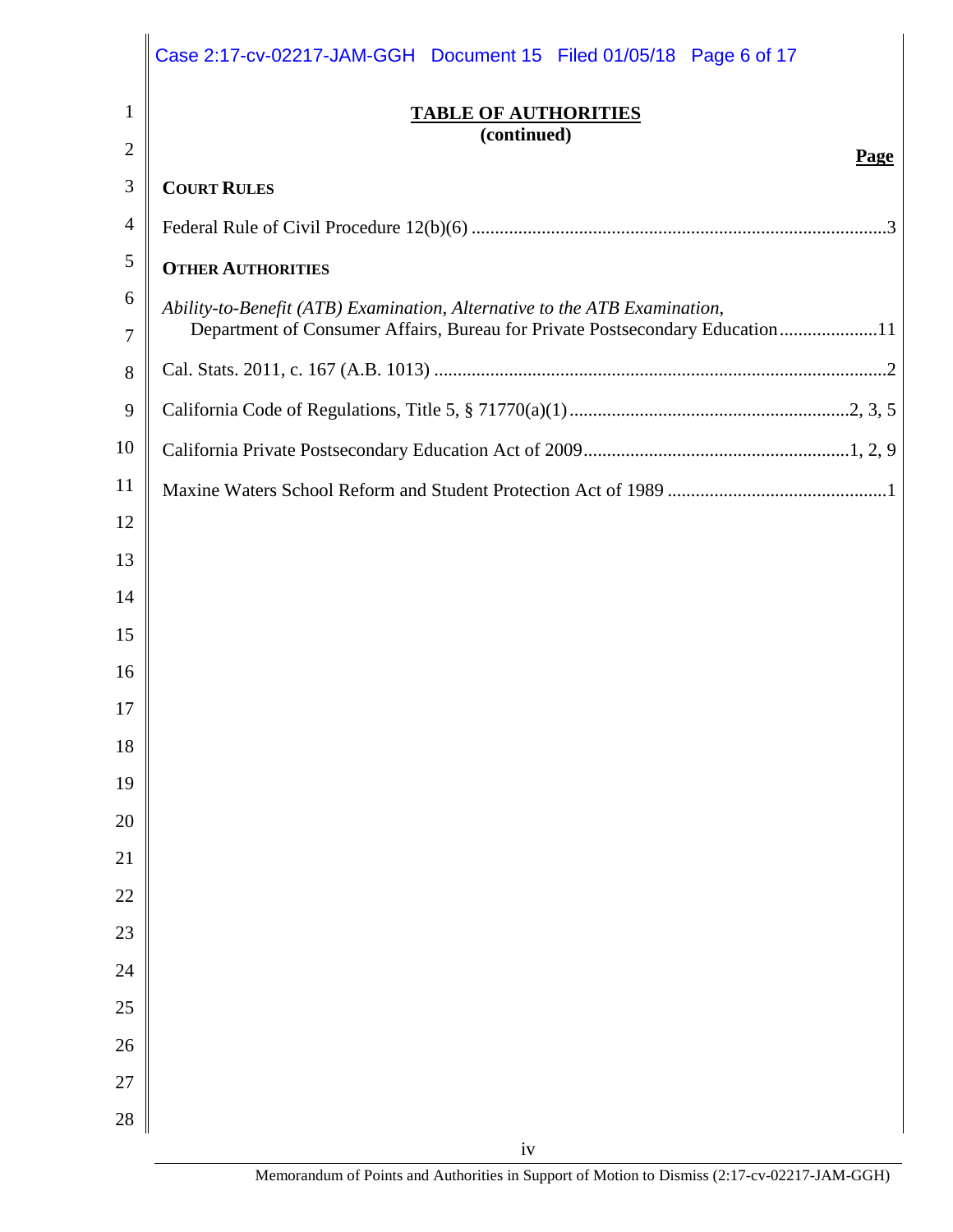|                | Case 2:17-cv-02217-JAM-GGH Document 15 Filed 01/05/18 Page 6 of 17                                                                                        |
|----------------|-----------------------------------------------------------------------------------------------------------------------------------------------------------|
| $\mathbf{1}$   | <b>TABLE OF AUTHORITIES</b>                                                                                                                               |
| $\overline{2}$ | (continued)<br><b>Page</b>                                                                                                                                |
| 3              | <b>COURT RULES</b>                                                                                                                                        |
| $\overline{4}$ |                                                                                                                                                           |
| 5              | <b>OTHER AUTHORITIES</b>                                                                                                                                  |
| 6<br>7         | Ability-to-Benefit (ATB) Examination, Alternative to the ATB Examination,<br>Department of Consumer Affairs, Bureau for Private Postsecondary Education11 |
| 8              |                                                                                                                                                           |
| 9              |                                                                                                                                                           |
| 10             |                                                                                                                                                           |
| 11             |                                                                                                                                                           |
| 12             |                                                                                                                                                           |
| 13             |                                                                                                                                                           |
| 14             |                                                                                                                                                           |
| 15             |                                                                                                                                                           |
| 16             |                                                                                                                                                           |
| 17             |                                                                                                                                                           |
| 18             |                                                                                                                                                           |
| 19             |                                                                                                                                                           |
| 20             |                                                                                                                                                           |
| 21             |                                                                                                                                                           |
| 22             |                                                                                                                                                           |
| 23             |                                                                                                                                                           |
| 24             |                                                                                                                                                           |
| 25             |                                                                                                                                                           |
| 26             |                                                                                                                                                           |
| 27<br>28       |                                                                                                                                                           |
|                | $iv$                                                                                                                                                      |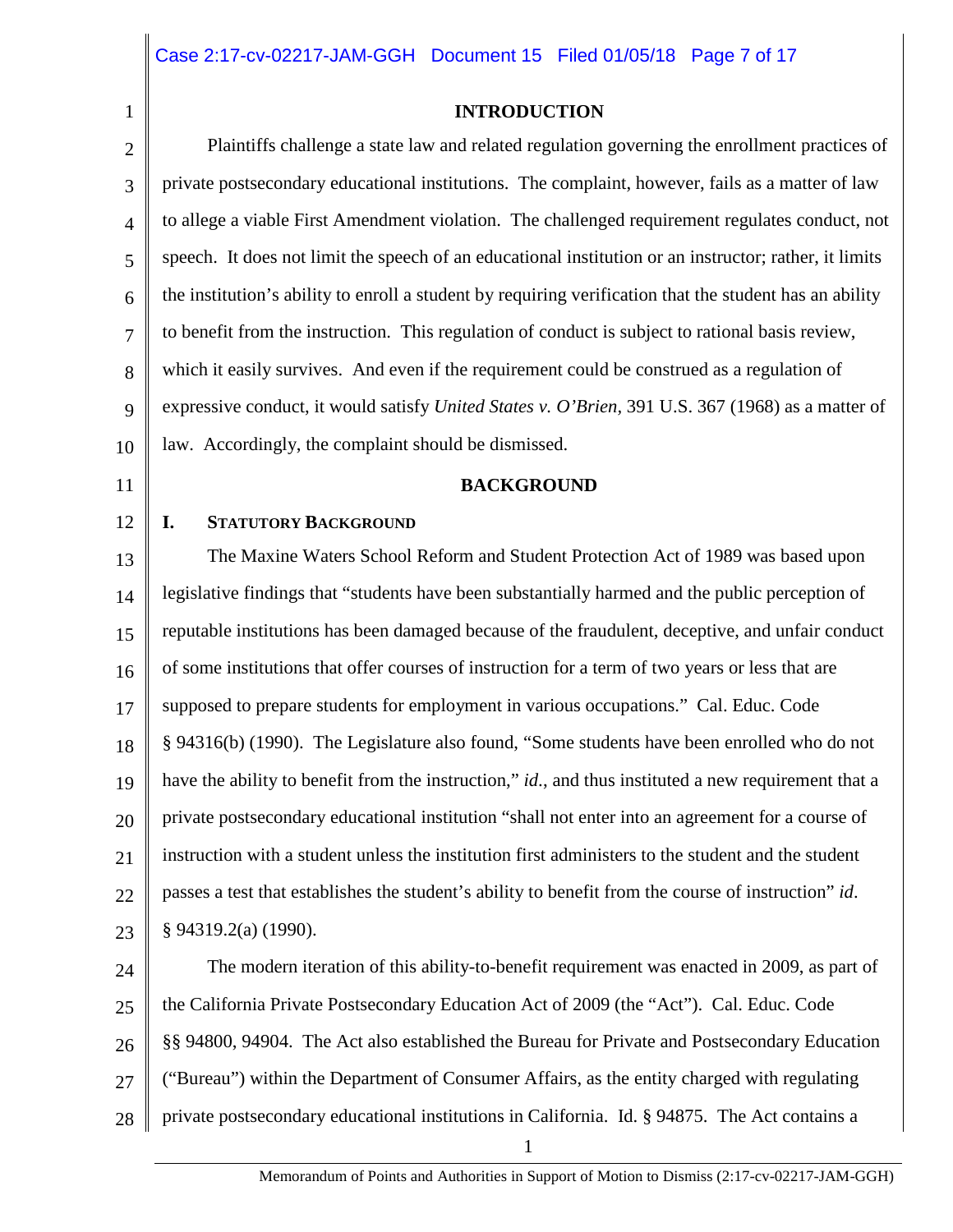2

1

#### **INTRODUCTION**

3 4 5 6 7 8 9 10 Plaintiffs challenge a state law and related regulation governing the enrollment practices of private postsecondary educational institutions. The complaint, however, fails as a matter of law to allege a viable First Amendment violation. The challenged requirement regulates conduct, not speech. It does not limit the speech of an educational institution or an instructor; rather, it limits the institution's ability to enroll a student by requiring verification that the student has an ability to benefit from the instruction. This regulation of conduct is subject to rational basis review, which it easily survives. And even if the requirement could be construed as a regulation of expressive conduct, it would satisfy *United States v. O'Brien,* 391 U.S. 367 (1968) as a matter of law. Accordingly, the complaint should be dismissed.

11

12

#### **BACKGROUND**

#### **I. STATUTORY BACKGROUND**

13 14 15 16 17 18 19 20 21 22 23 The Maxine Waters School Reform and Student Protection Act of 1989 was based upon legislative findings that "students have been substantially harmed and the public perception of reputable institutions has been damaged because of the fraudulent, deceptive, and unfair conduct of some institutions that offer courses of instruction for a term of two years or less that are supposed to prepare students for employment in various occupations." Cal. Educ. Code § 94316(b) (1990). The Legislature also found, "Some students have been enrolled who do not have the ability to benefit from the instruction," *id*., and thus instituted a new requirement that a private postsecondary educational institution "shall not enter into an agreement for a course of instruction with a student unless the institution first administers to the student and the student passes a test that establishes the student's ability to benefit from the course of instruction" *id*. § 94319.2(a) (1990).

24 25 26 27 28 The modern iteration of this ability-to-benefit requirement was enacted in 2009, as part of the California Private Postsecondary Education Act of 2009 (the "Act"). Cal. Educ. Code §§ 94800, 94904. The Act also established the Bureau for Private and Postsecondary Education ("Bureau") within the Department of Consumer Affairs, as the entity charged with regulating private postsecondary educational institutions in California. Id. § 94875. The Act contains a

1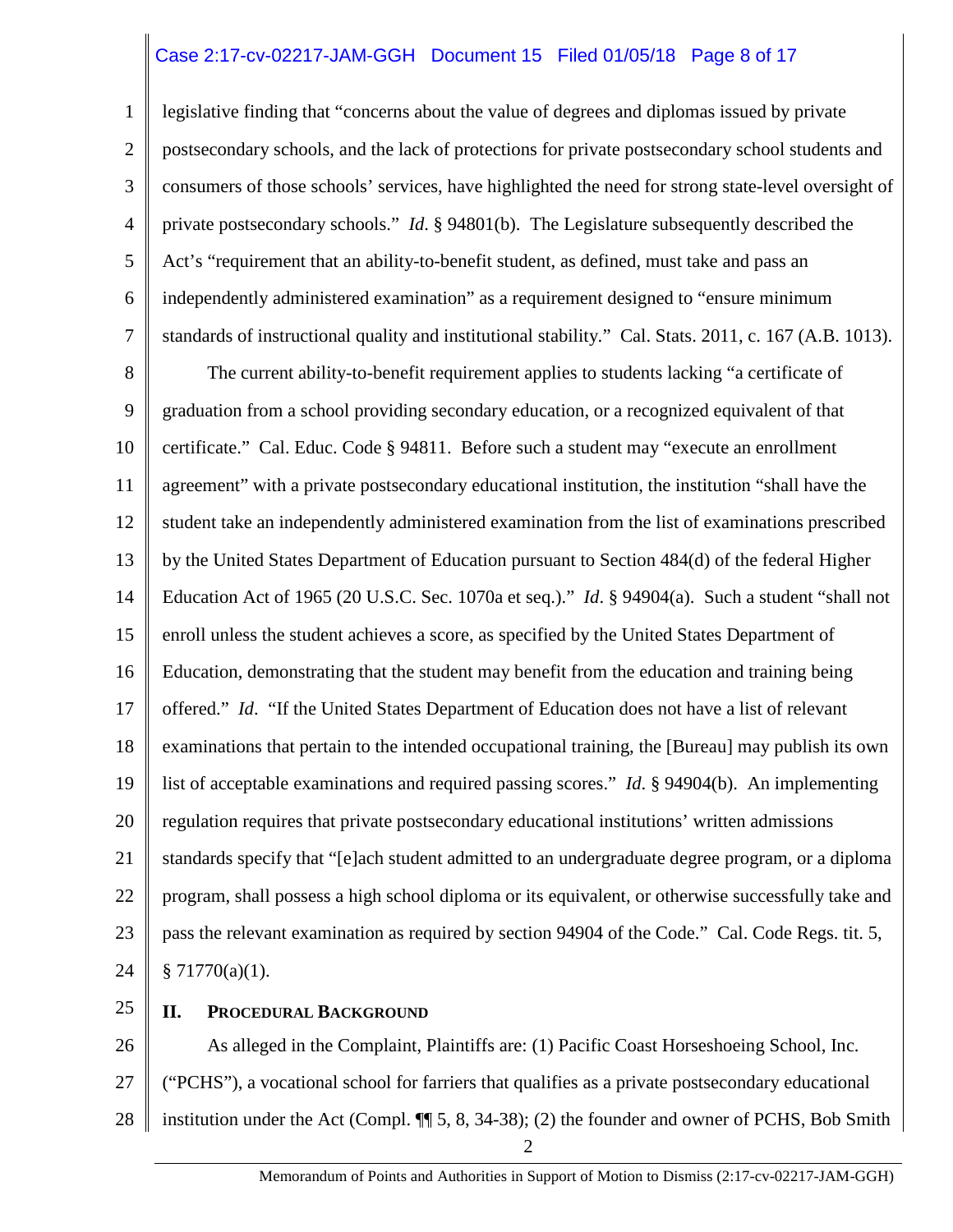## Case 2:17-cv-02217-JAM-GGH Document 15 Filed 01/05/18 Page 8 of 17

1 2 3 4 5 6 7 legislative finding that "concerns about the value of degrees and diplomas issued by private postsecondary schools, and the lack of protections for private postsecondary school students and consumers of those schools' services, have highlighted the need for strong state-level oversight of private postsecondary schools." *Id*. § 94801(b). The Legislature subsequently described the Act's "requirement that an ability-to-benefit student, as defined, must take and pass an independently administered examination" as a requirement designed to "ensure minimum standards of instructional quality and institutional stability." Cal. Stats. 2011, c. 167 (A.B. 1013).

8 9 10 11 12 13 14 15 16 17 18 19 20 21 22 23 24 The current ability-to-benefit requirement applies to students lacking "a certificate of graduation from a school providing secondary education, or a recognized equivalent of that certificate." Cal. Educ. Code § 94811. Before such a student may "execute an enrollment agreement" with a private postsecondary educational institution, the institution "shall have the student take an independently administered examination from the list of examinations prescribed by the United States Department of Education pursuant to Section 484(d) of the federal Higher Education Act of 1965 (20 U.S.C. Sec. 1070a et seq.)." *Id*. § 94904(a). Such a student "shall not enroll unless the student achieves a score, as specified by the United States Department of Education, demonstrating that the student may benefit from the education and training being offered." *Id*. "If the United States Department of Education does not have a list of relevant examinations that pertain to the intended occupational training, the [Bureau] may publish its own list of acceptable examinations and required passing scores." *Id*. § 94904(b). An implementing regulation requires that private postsecondary educational institutions' written admissions standards specify that "[e]ach student admitted to an undergraduate degree program, or a diploma program, shall possess a high school diploma or its equivalent, or otherwise successfully take and pass the relevant examination as required by section 94904 of the Code." Cal. Code Regs. tit. 5,  $§ 71770(a)(1).$ 

25

#### **II. PROCEDURAL BACKGROUND**

26 27 28 2 As alleged in the Complaint, Plaintiffs are: (1) Pacific Coast Horseshoeing School, Inc. ("PCHS"), a vocational school for farriers that qualifies as a private postsecondary educational institution under the Act (Compl. ¶¶ 5, 8, 34-38); (2) the founder and owner of PCHS, Bob Smith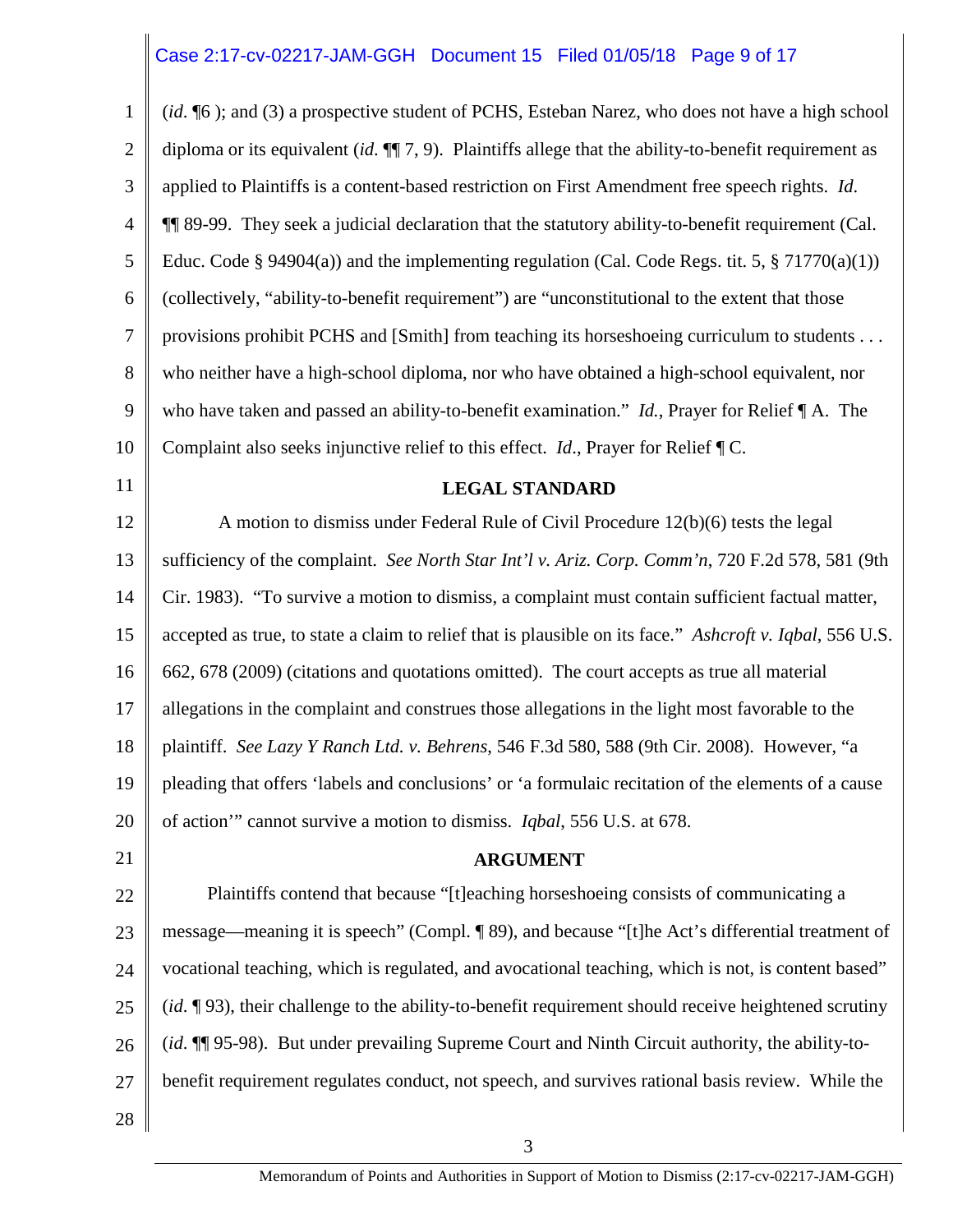## Case 2:17-cv-02217-JAM-GGH Document 15 Filed 01/05/18 Page 9 of 17

| $\mathbf{1}$   | (id. ¶6); and (3) a prospective student of PCHS, Esteban Narez, who does not have a high school          |
|----------------|----------------------------------------------------------------------------------------------------------|
| $\overline{2}$ | diploma or its equivalent (id. $\P$ 7, 9). Plaintiffs allege that the ability-to-benefit requirement as  |
| 3              | applied to Plaintiffs is a content-based restriction on First Amendment free speech rights. Id.          |
| $\overline{4}$ | 11 89-99. They seek a judicial declaration that the statutory ability-to-benefit requirement (Cal.       |
| 5              | Educ. Code § 94904(a)) and the implementing regulation (Cal. Code Regs. tit. 5, § 71770(a)(1))           |
| 6              | (collectively, "ability-to-benefit requirement") are "unconstitutional to the extent that those          |
| $\tau$         | provisions prohibit PCHS and [Smith] from teaching its horseshoeing curriculum to students               |
| 8              | who neither have a high-school diploma, nor who have obtained a high-school equivalent, nor              |
| 9              | who have taken and passed an ability-to-benefit examination." <i>Id.</i> , Prayer for Relief $\P$ A. The |
| 10             | Complaint also seeks injunctive relief to this effect. $Id$ ., Prayer for Relief $\P C$ .                |
| 11             | <b>LEGAL STANDARD</b>                                                                                    |
| 12             | A motion to dismiss under Federal Rule of Civil Procedure 12(b)(6) tests the legal                       |
| 13             | sufficiency of the complaint. See North Star Int'l v. Ariz. Corp. Comm'n, 720 F.2d 578, 581 (9th         |
| 14             | Cir. 1983). "To survive a motion to dismiss, a complaint must contain sufficient factual matter,         |
| 15             | accepted as true, to state a claim to relief that is plausible on its face." Ashcroft v. Iqbal, 556 U.S. |
| 16             | 662, 678 (2009) (citations and quotations omitted). The court accepts as true all material               |
| 17             | allegations in the complaint and construes those allegations in the light most favorable to the          |
| 18             | plaintiff. See Lazy Y Ranch Ltd. v. Behrens, 546 F.3d 580, 588 (9th Cir. 2008). However, "a              |
| 19             | pleading that offers 'labels and conclusions' or 'a formulaic recitation of the elements of a cause      |
| 20             | of action" cannot survive a motion to dismiss. <i>Iqbal</i> , 556 U.S. at 678.                           |
| 21             | <b>ARGUMENT</b>                                                                                          |
| 22             | Plaintiffs contend that because "[t]eaching horseshoeing consists of communicating a                     |
| 23             | message—meaning it is speech" (Compl. ¶ 89), and because "[t]he Act's differential treatment of          |
| 24             | vocational teaching, which is regulated, and avocational teaching, which is not, is content based"       |
| 25             | (id. 193), their challenge to the ability-to-benefit requirement should receive heightened scrutiny      |
| 26             | (id. ¶ 95-98). But under prevailing Supreme Court and Ninth Circuit authority, the ability-to-           |
| 27             | benefit requirement regulates conduct, not speech, and survives rational basis review. While the         |
| 28             |                                                                                                          |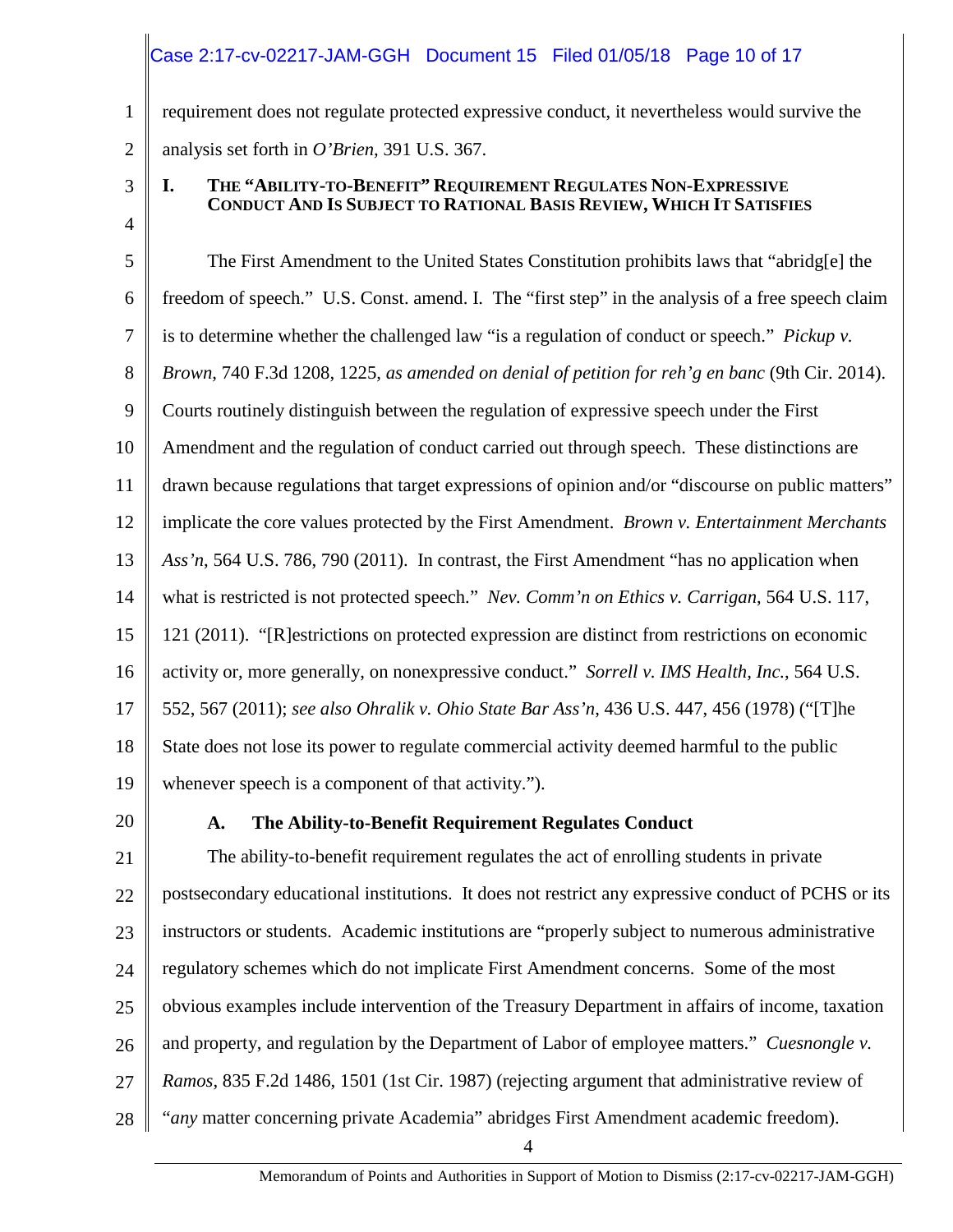## Case 2:17-cv-02217-JAM-GGH Document 15 Filed 01/05/18 Page 10 of 17

requirement does not regulate protected expressive conduct, it nevertheless would survive the analysis set forth in *O'Brien,* 391 U.S. 367.

3

4

1

2

#### **I. THE "ABILITY-TO-BENEFIT" REQUIREMENT REGULATES NON-EXPRESSIVE CONDUCT AND IS SUBJECT TO RATIONAL BASIS REVIEW, WHICH IT SATISFIES**

5 6 7 8 9 10 11 12 13 14 15 16 17 18 19 The First Amendment to the United States Constitution prohibits laws that "abridg[e] the freedom of speech." U.S. Const. amend. I. The "first step" in the analysis of a free speech claim is to determine whether the challenged law "is a regulation of conduct or speech." *Pickup v. Brown*, 740 F.3d 1208, 1225, *as amended on denial of petition for reh'g en banc* (9th Cir. 2014). Courts routinely distinguish between the regulation of expressive speech under the First Amendment and the regulation of conduct carried out through speech. These distinctions are drawn because regulations that target expressions of opinion and/or "discourse on public matters" implicate the core values protected by the First Amendment. *Brown v. Entertainment Merchants Ass'n*, 564 U.S. 786, 790 (2011). In contrast, the First Amendment "has no application when what is restricted is not protected speech." *Nev. Comm'n on Ethics v. Carrigan*, 564 U.S. 117, 121 (2011). "[R]estrictions on protected expression are distinct from restrictions on economic activity or, more generally, on nonexpressive conduct." *Sorrell v. IMS Health, Inc.*, 564 U.S. 552, 567 (2011); *see also Ohralik v. Ohio State Bar Ass'n*, 436 U.S. 447, 456 (1978) ("[T]he State does not lose its power to regulate commercial activity deemed harmful to the public whenever speech is a component of that activity.").

20

## **A. The Ability-to-Benefit Requirement Regulates Conduct**

21 22 23 24 25 26 27 28 The ability-to-benefit requirement regulates the act of enrolling students in private postsecondary educational institutions. It does not restrict any expressive conduct of PCHS or its instructors or students. Academic institutions are "properly subject to numerous administrative regulatory schemes which do not implicate First Amendment concerns. Some of the most obvious examples include intervention of the Treasury Department in affairs of income, taxation and property, and regulation by the Department of Labor of employee matters." *Cuesnongle v. Ramos*, 835 F.2d 1486, 1501 (1st Cir. 1987) (rejecting argument that administrative review of "*any* matter concerning private Academia" abridges First Amendment academic freedom).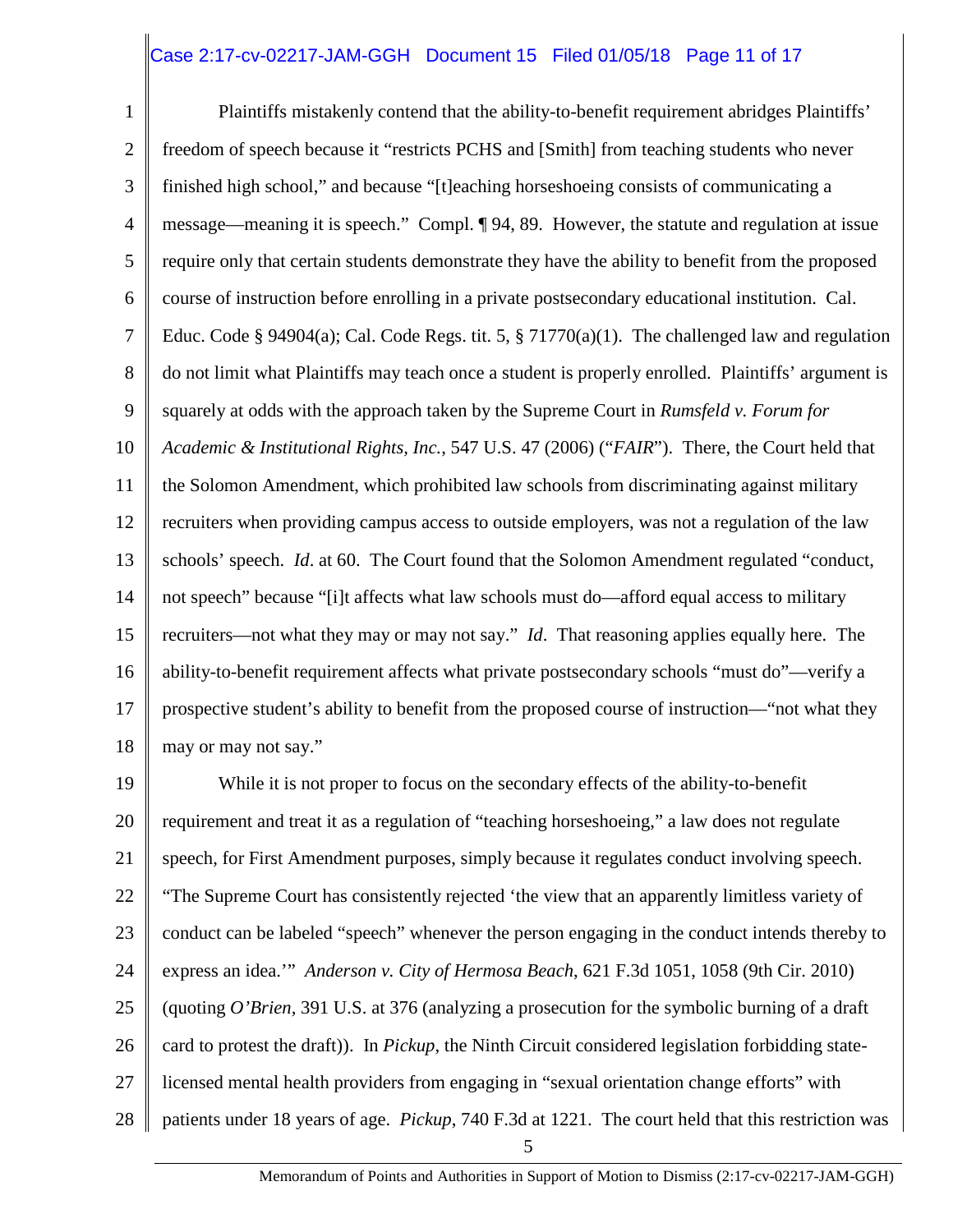### Case 2:17-cv-02217-JAM-GGH Document 15 Filed 01/05/18 Page 11 of 17

1 2 3 4 5 6 7 8 9 10 11 12 13 14 15 16 17 18 Plaintiffs mistakenly contend that the ability-to-benefit requirement abridges Plaintiffs' freedom of speech because it "restricts PCHS and [Smith] from teaching students who never finished high school," and because "[t]eaching horseshoeing consists of communicating a message—meaning it is speech." Compl. ¶ 94, 89. However, the statute and regulation at issue require only that certain students demonstrate they have the ability to benefit from the proposed course of instruction before enrolling in a private postsecondary educational institution. Cal. Educ. Code § 94904(a); Cal. Code Regs. tit. 5, § 71770(a)(1). The challenged law and regulation do not limit what Plaintiffs may teach once a student is properly enrolled. Plaintiffs' argument is squarely at odds with the approach taken by the Supreme Court in *Rumsfeld v. Forum for Academic & Institutional Rights, Inc.*, 547 U.S. 47 (2006) ("*FAIR*"). There, the Court held that the Solomon Amendment, which prohibited law schools from discriminating against military recruiters when providing campus access to outside employers, was not a regulation of the law schools' speech. *Id*. at 60. The Court found that the Solomon Amendment regulated "conduct, not speech" because "[i]t affects what law schools must do—afford equal access to military recruiters—not what they may or may not say." *Id*. That reasoning applies equally here. The ability-to-benefit requirement affects what private postsecondary schools "must do"—verify a prospective student's ability to benefit from the proposed course of instruction—"not what they may or may not say."

19 20 21 22 23 24 25 26 27 28 While it is not proper to focus on the secondary effects of the ability-to-benefit requirement and treat it as a regulation of "teaching horseshoeing," a law does not regulate speech, for First Amendment purposes, simply because it regulates conduct involving speech. "The Supreme Court has consistently rejected 'the view that an apparently limitless variety of conduct can be labeled "speech" whenever the person engaging in the conduct intends thereby to express an idea.'" *Anderson v. City of Hermosa Beach*, 621 F.3d 1051, 1058 (9th Cir. 2010) (quoting *O'Brien,* 391 U.S. at 376 (analyzing a prosecution for the symbolic burning of a draft card to protest the draft)). In *Pickup*, the Ninth Circuit considered legislation forbidding statelicensed mental health providers from engaging in "sexual orientation change efforts" with patients under 18 years of age. *Pickup*, 740 F.3d at 1221. The court held that this restriction was

5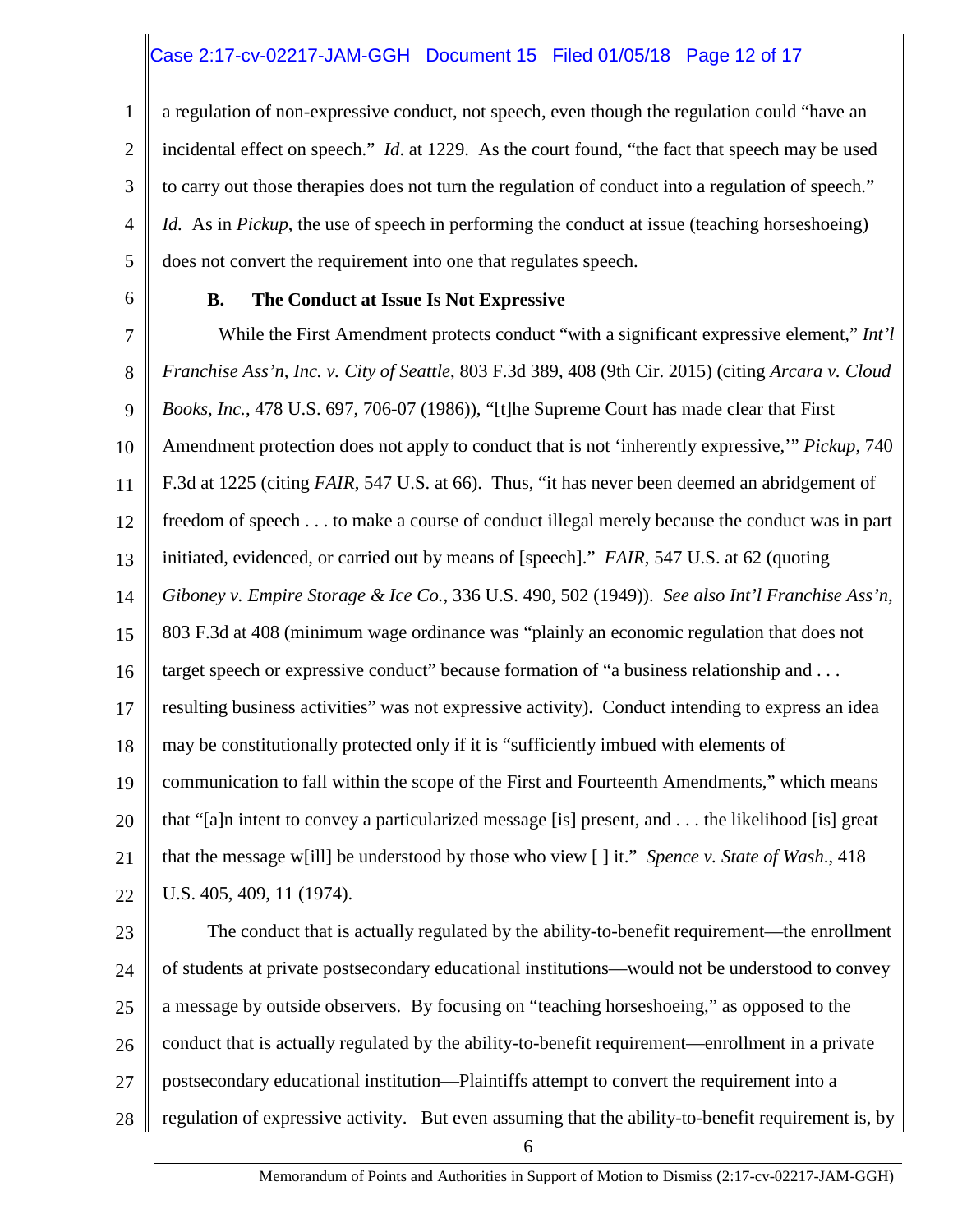## Case 2:17-cv-02217-JAM-GGH Document 15 Filed 01/05/18 Page 12 of 17

1 2 3 4 5 a regulation of non-expressive conduct, not speech, even though the regulation could "have an incidental effect on speech." *Id*. at 1229. As the court found, "the fact that speech may be used to carry out those therapies does not turn the regulation of conduct into a regulation of speech." *Id.* As in *Pickup*, the use of speech in performing the conduct at issue (teaching horseshoeing) does not convert the requirement into one that regulates speech.

6

#### **B. The Conduct at Issue Is Not Expressive**

7 8 9 10 11 12 13 14 15 16 17 18 19 20 21 22 While the First Amendment protects conduct "with a significant expressive element," *Int'l Franchise Ass'n, Inc. v. City of Seattle*, 803 F.3d 389, 408 (9th Cir. 2015) (citing *Arcara v. Cloud Books, Inc.*, 478 U.S. 697, 706-07 (1986)), "[t]he Supreme Court has made clear that First Amendment protection does not apply to conduct that is not 'inherently expressive,'" *Pickup*, 740 F.3d at 1225 (citing *FAIR*, 547 U.S. at 66). Thus, "it has never been deemed an abridgement of freedom of speech . . . to make a course of conduct illegal merely because the conduct was in part initiated, evidenced, or carried out by means of [speech]." *FAIR*, 547 U.S. at 62 (quoting *Giboney v. Empire Storage & Ice Co.*, 336 U.S. 490, 502 (1949)). *See also Int'l Franchise Ass'n*, 803 F.3d at 408 (minimum wage ordinance was "plainly an economic regulation that does not target speech or expressive conduct" because formation of "a business relationship and . . . resulting business activities" was not expressive activity). Conduct intending to express an idea may be constitutionally protected only if it is "sufficiently imbued with elements of communication to fall within the scope of the First and Fourteenth Amendments," which means that "[a]n intent to convey a particularized message [is] present, and . . . the likelihood [is] great that the message w[ill] be understood by those who view [ ] it." *Spence v. State of Wash*., 418 U.S. 405, 409, 11 (1974).

23 24 25 26 27 28 The conduct that is actually regulated by the ability-to-benefit requirement—the enrollment of students at private postsecondary educational institutions—would not be understood to convey a message by outside observers. By focusing on "teaching horseshoeing," as opposed to the conduct that is actually regulated by the ability-to-benefit requirement—enrollment in a private postsecondary educational institution—Plaintiffs attempt to convert the requirement into a regulation of expressive activity. But even assuming that the ability-to-benefit requirement is, by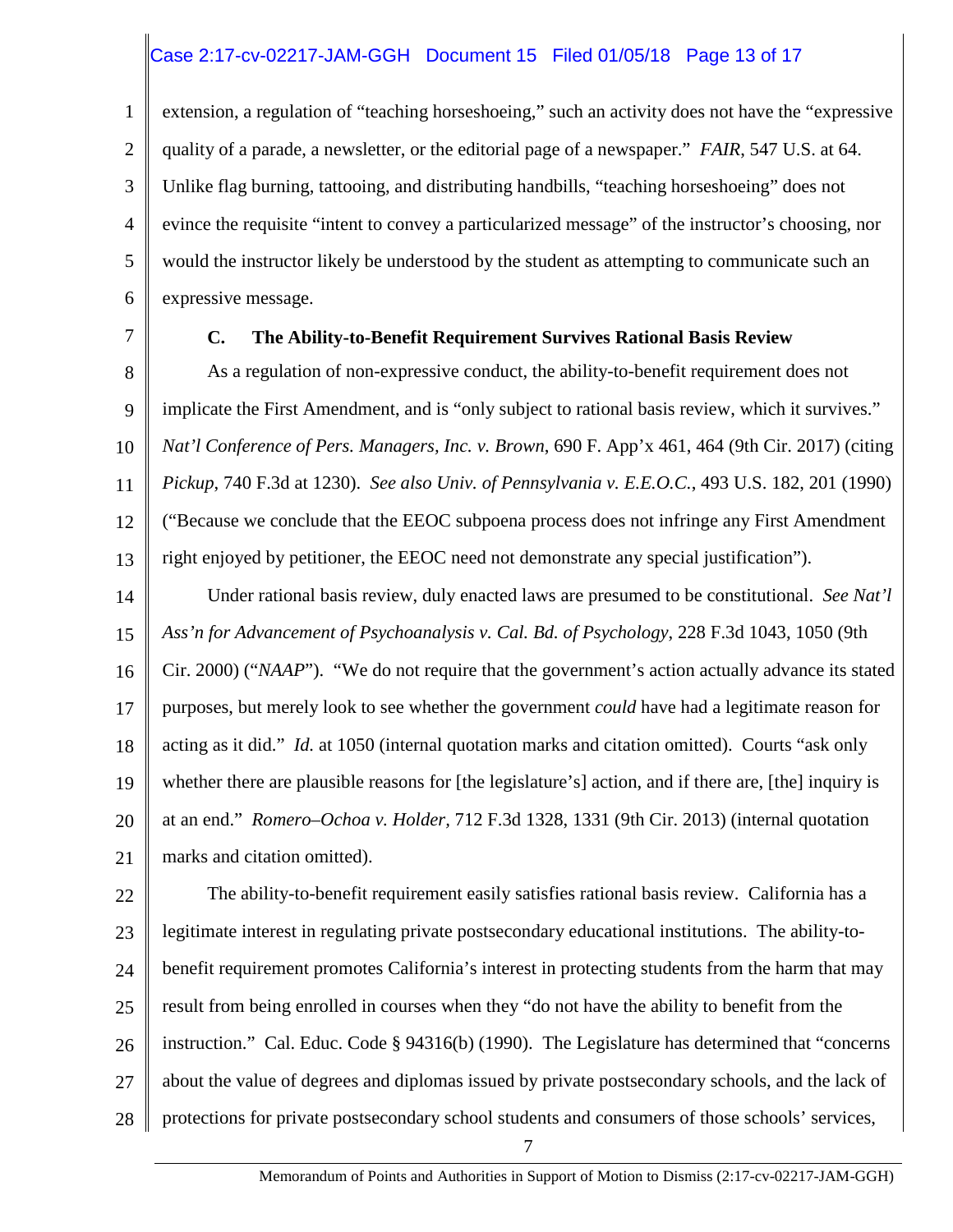## Case 2:17-cv-02217-JAM-GGH Document 15 Filed 01/05/18 Page 13 of 17

1 2 3 4 5 6 extension, a regulation of "teaching horseshoeing," such an activity does not have the "expressive quality of a parade, a newsletter, or the editorial page of a newspaper." *FAIR*, 547 U.S. at 64. Unlike flag burning, tattooing, and distributing handbills, "teaching horseshoeing" does not evince the requisite "intent to convey a particularized message" of the instructor's choosing, nor would the instructor likely be understood by the student as attempting to communicate such an expressive message.

7

#### **C. The Ability-to-Benefit Requirement Survives Rational Basis Review**

8 9 10 11 12 13 As a regulation of non-expressive conduct, the ability-to-benefit requirement does not implicate the First Amendment, and is "only subject to rational basis review, which it survives." *Nat'l Conference of Pers. Managers, Inc. v. Brown*, 690 F. App'x 461, 464 (9th Cir. 2017) (citing *Pickup*, 740 F.3d at 1230). *See also Univ. of Pennsylvania v. E.E.O.C.*, 493 U.S. 182, 201 (1990) ("Because we conclude that the EEOC subpoena process does not infringe any First Amendment right enjoyed by petitioner, the EEOC need not demonstrate any special justification").

14 15 16 17 18 19 20 21 Under rational basis review, duly enacted laws are presumed to be constitutional. *See Nat'l Ass'n for Advancement of Psychoanalysis v. Cal. Bd. of Psychology*, 228 F.3d 1043, 1050 (9th Cir. 2000) ("*NAAP*"). "We do not require that the government's action actually advance its stated purposes, but merely look to see whether the government *could* have had a legitimate reason for acting as it did." *Id.* at 1050 (internal quotation marks and citation omitted). Courts "ask only whether there are plausible reasons for [the legislature's] action, and if there are, [the] inquiry is at an end." *Romero–Ochoa v. Holder,* 712 F.3d 1328, 1331 (9th Cir. 2013) (internal quotation marks and citation omitted).

22 23 24 25 26 27 28 The ability-to-benefit requirement easily satisfies rational basis review. California has a legitimate interest in regulating private postsecondary educational institutions. The ability-tobenefit requirement promotes California's interest in protecting students from the harm that may result from being enrolled in courses when they "do not have the ability to benefit from the instruction." Cal. Educ. Code § 94316(b) (1990). The Legislature has determined that "concerns about the value of degrees and diplomas issued by private postsecondary schools, and the lack of protections for private postsecondary school students and consumers of those schools' services,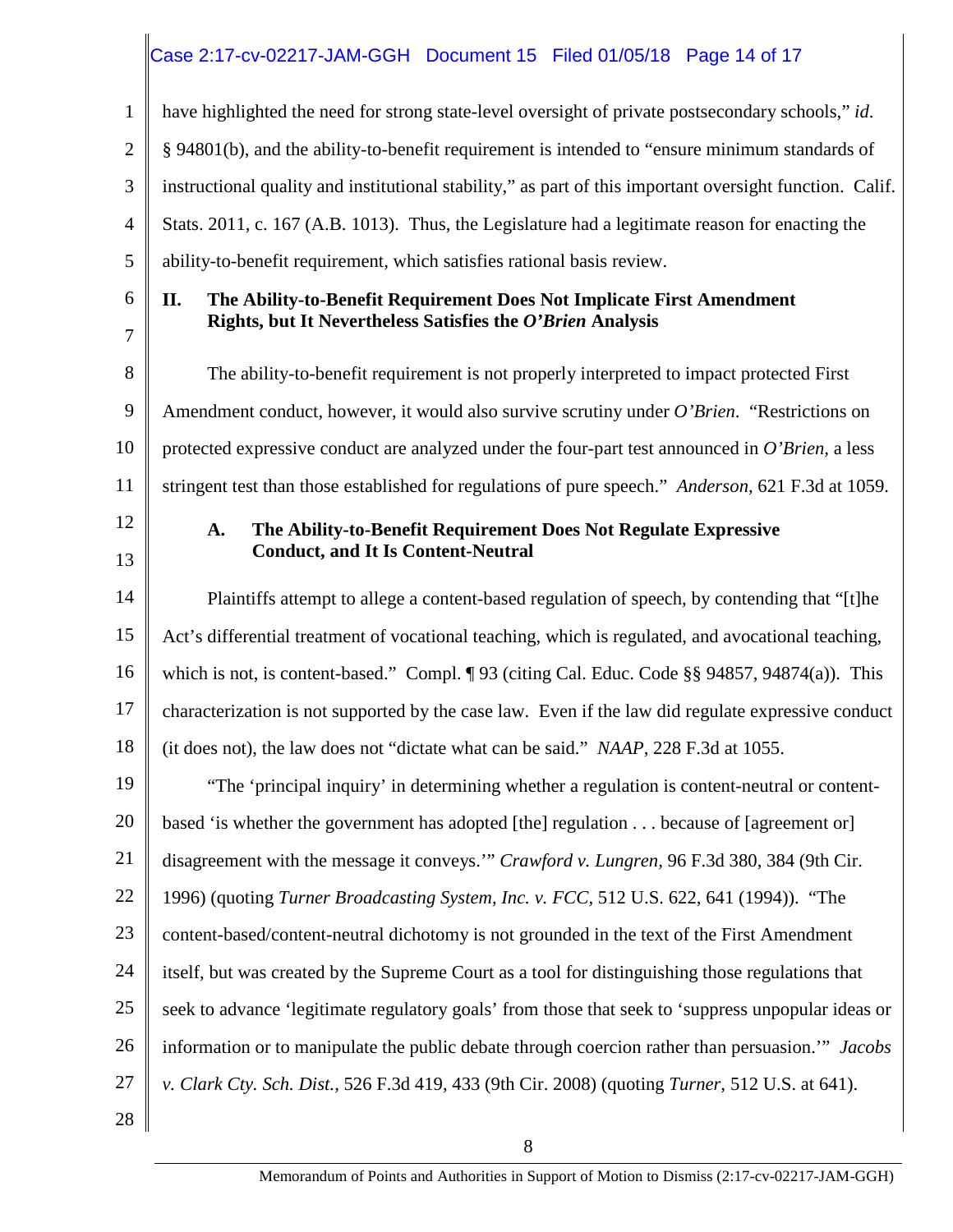## Case 2:17-cv-02217-JAM-GGH Document 15 Filed 01/05/18 Page 14 of 17

| 1              | have highlighted the need for strong state-level oversight of private postsecondary schools," id.            |
|----------------|--------------------------------------------------------------------------------------------------------------|
| $\overline{2}$ | § 94801(b), and the ability-to-benefit requirement is intended to "ensure minimum standards of               |
| 3              | instructional quality and institutional stability," as part of this important oversight function. Calif.     |
| 4              | Stats. 2011, c. 167 (A.B. 1013). Thus, the Legislature had a legitimate reason for enacting the              |
| 5              | ability-to-benefit requirement, which satisfies rational basis review.                                       |
| 6              | II.<br>The Ability-to-Benefit Requirement Does Not Implicate First Amendment                                 |
| 7              | Rights, but It Nevertheless Satisfies the O'Brien Analysis                                                   |
| 8              | The ability-to-benefit requirement is not properly interpreted to impact protected First                     |
| 9              | Amendment conduct, however, it would also survive scrutiny under O'Brien. "Restrictions on                   |
| 10             | protected expressive conduct are analyzed under the four-part test announced in $O'$ Brien, a less           |
| 11             | stringent test than those established for regulations of pure speech." Anderson, 621 F.3d at 1059.           |
| 12             | The Ability-to-Benefit Requirement Does Not Regulate Expressive<br>A.                                        |
| 13             | <b>Conduct, and It Is Content-Neutral</b>                                                                    |
| 14             | Plaintiffs attempt to allege a content-based regulation of speech, by contending that "[t]he                 |
| 15             | Act's differential treatment of vocational teaching, which is regulated, and avocational teaching,           |
| 16             | which is not, is content-based." Compl. $\lceil 93 \rceil$ (citing Cal. Educ. Code §§ 94857, 94874(a)). This |
| 17             | characterization is not supported by the case law. Even if the law did regulate expressive conduct           |
| 18             | (it does not), the law does not "dictate what can be said." NAAP, 228 F.3d at 1055.                          |
| 19             | "The 'principal inquiry' in determining whether a regulation is content-neutral or content-                  |
| 20             | based 'is whether the government has adopted [the] regulation because of [agreement or]                      |
| 21             | disagreement with the message it conveys." Crawford v. Lungren, 96 F.3d 380, 384 (9th Cir.                   |
| 22             | 1996) (quoting Turner Broadcasting System, Inc. v. FCC, 512 U.S. 622, 641 (1994)). "The                      |
| 23             | content-based/content-neutral dichotomy is not grounded in the text of the First Amendment                   |
| 24             | itself, but was created by the Supreme Court as a tool for distinguishing those regulations that             |
| 25             | seek to advance 'legitimate regulatory goals' from those that seek to 'suppress unpopular ideas or           |
| 26             | information or to manipulate the public debate through coercion rather than persuasion." Jacobs              |
| 27             | v. Clark Cty. Sch. Dist., 526 F.3d 419, 433 (9th Cir. 2008) (quoting Turner, 512 U.S. at 641).               |
| 28             |                                                                                                              |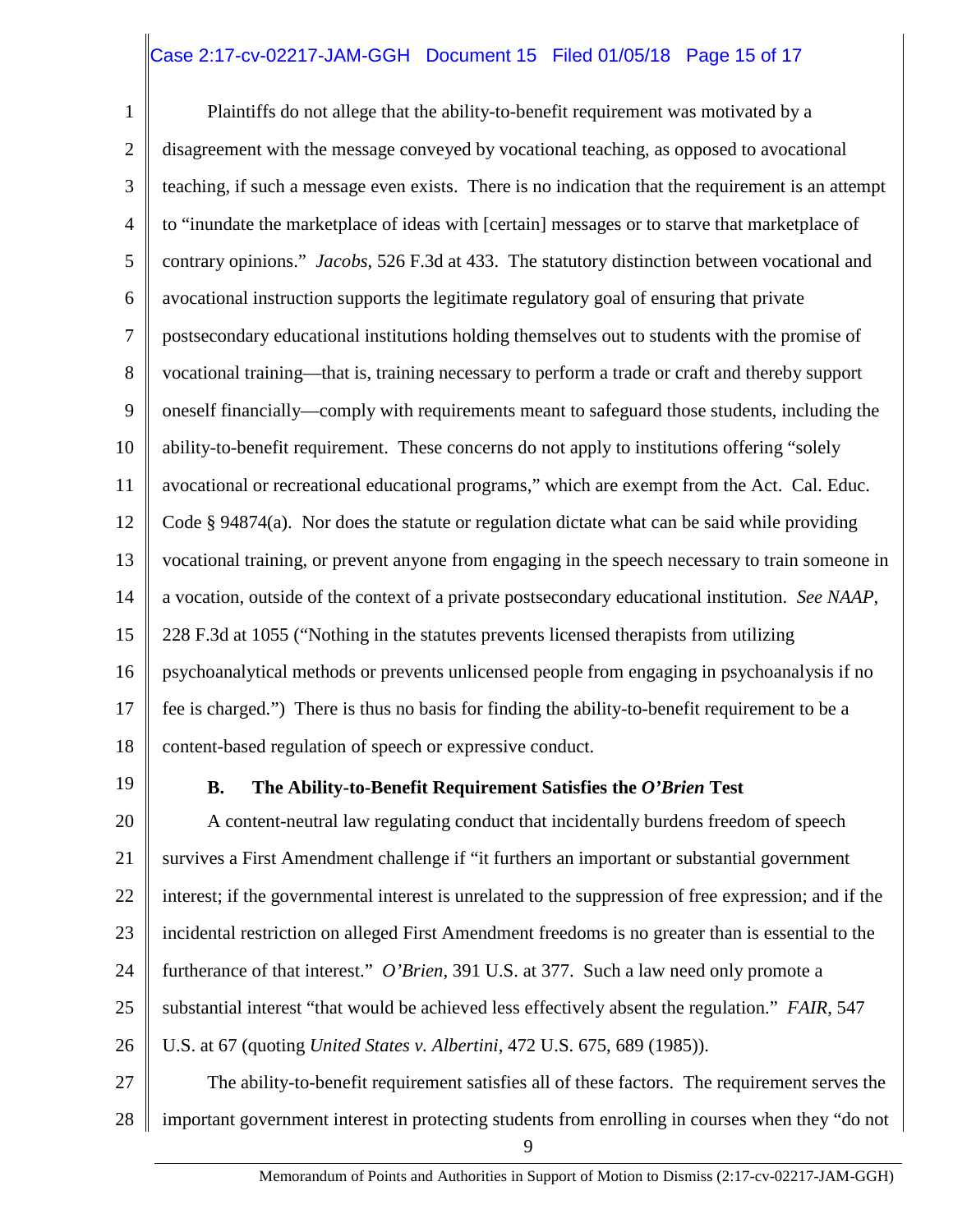## Case 2:17-cv-02217-JAM-GGH Document 15 Filed 01/05/18 Page 15 of 17

1 2 3 4 5 6 7 8 9 10 11 12 13 14 15 16 17 18 Plaintiffs do not allege that the ability-to-benefit requirement was motivated by a disagreement with the message conveyed by vocational teaching, as opposed to avocational teaching, if such a message even exists. There is no indication that the requirement is an attempt to "inundate the marketplace of ideas with [certain] messages or to starve that marketplace of contrary opinions." *Jacobs*, 526 F.3d at 433. The statutory distinction between vocational and avocational instruction supports the legitimate regulatory goal of ensuring that private postsecondary educational institutions holding themselves out to students with the promise of vocational training—that is, training necessary to perform a trade or craft and thereby support oneself financially—comply with requirements meant to safeguard those students, including the ability-to-benefit requirement. These concerns do not apply to institutions offering "solely avocational or recreational educational programs," which are exempt from the Act. Cal. Educ. Code § 94874(a). Nor does the statute or regulation dictate what can be said while providing vocational training, or prevent anyone from engaging in the speech necessary to train someone in a vocation, outside of the context of a private postsecondary educational institution. *See NAAP*, 228 F.3d at 1055 ("Nothing in the statutes prevents licensed therapists from utilizing psychoanalytical methods or prevents unlicensed people from engaging in psychoanalysis if no fee is charged.") There is thus no basis for finding the ability-to-benefit requirement to be a content-based regulation of speech or expressive conduct.

19

#### **B. The Ability-to-Benefit Requirement Satisfies the** *O'Brien* **Test**

20 21 22 23 24 25 26 27 A content-neutral law regulating conduct that incidentally burdens freedom of speech survives a First Amendment challenge if "it furthers an important or substantial government interest; if the governmental interest is unrelated to the suppression of free expression; and if the incidental restriction on alleged First Amendment freedoms is no greater than is essential to the furtherance of that interest." *O'Brien*, 391 U.S. at 377. Such a law need only promote a substantial interest "that would be achieved less effectively absent the regulation." *FAIR*, 547 U.S. at 67 (quoting *United States v. Albertini*, 472 U.S. 675, 689 (1985)). The ability-to-benefit requirement satisfies all of these factors. The requirement serves the

28 important government interest in protecting students from enrolling in courses when they "do not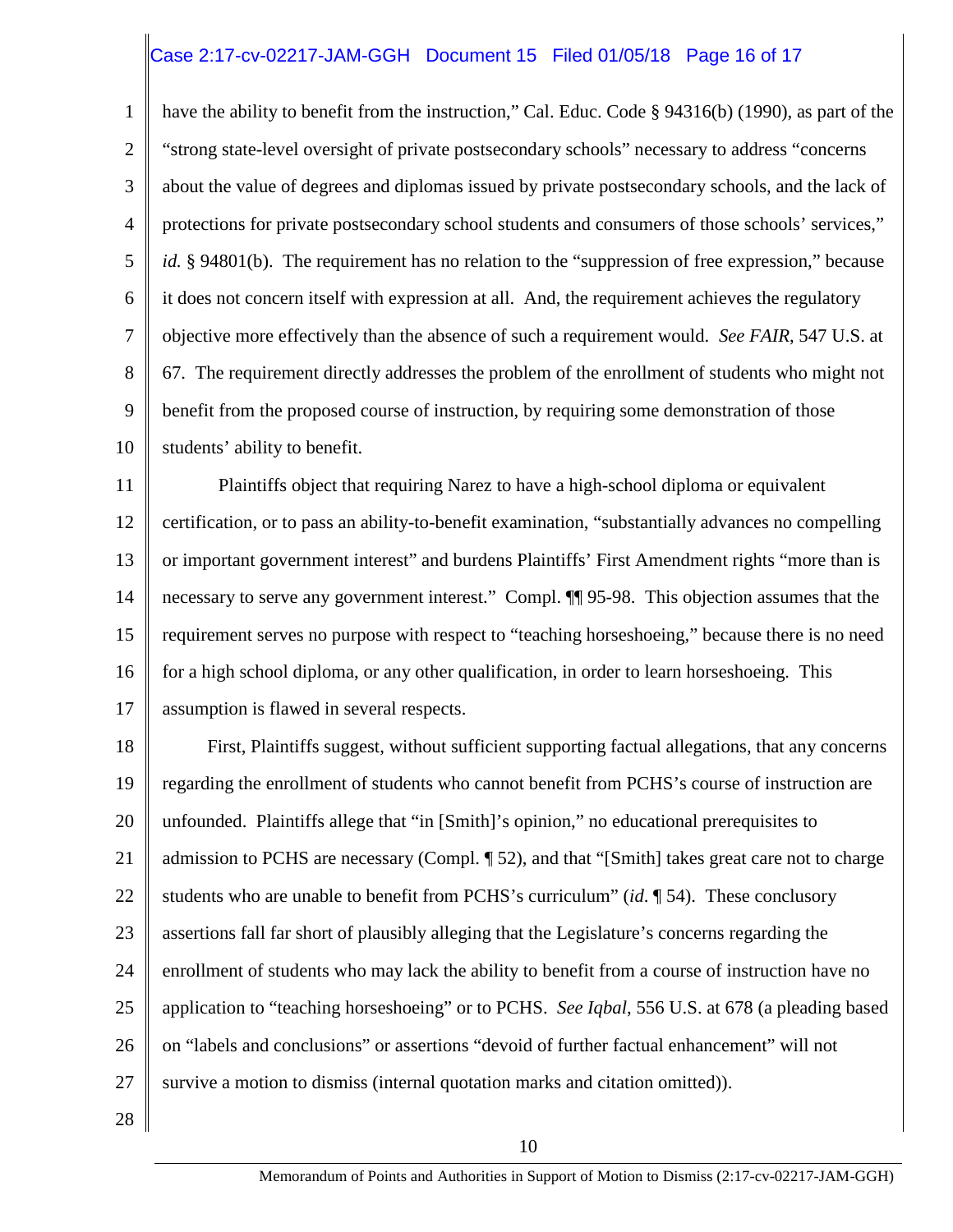## Case 2:17-cv-02217-JAM-GGH Document 15 Filed 01/05/18 Page 16 of 17

1 2 3 4 5 6 7 8 9 10 have the ability to benefit from the instruction," Cal. Educ. Code § 94316(b) (1990), as part of the "strong state-level oversight of private postsecondary schools" necessary to address "concerns about the value of degrees and diplomas issued by private postsecondary schools, and the lack of protections for private postsecondary school students and consumers of those schools' services," *id.* § 94801(b). The requirement has no relation to the "suppression of free expression," because it does not concern itself with expression at all. And, the requirement achieves the regulatory objective more effectively than the absence of such a requirement would. *See FAIR*, 547 U.S. at 67. The requirement directly addresses the problem of the enrollment of students who might not benefit from the proposed course of instruction, by requiring some demonstration of those students' ability to benefit.

11 12 13 14 15 16 17 Plaintiffs object that requiring Narez to have a high-school diploma or equivalent certification, or to pass an ability-to-benefit examination, "substantially advances no compelling or important government interest" and burdens Plaintiffs' First Amendment rights "more than is necessary to serve any government interest." Compl. ¶¶ 95-98. This objection assumes that the requirement serves no purpose with respect to "teaching horseshoeing," because there is no need for a high school diploma, or any other qualification, in order to learn horseshoeing. This assumption is flawed in several respects.

18 19 20 21 22 23 24 25 26 27 First, Plaintiffs suggest, without sufficient supporting factual allegations, that any concerns regarding the enrollment of students who cannot benefit from PCHS's course of instruction are unfounded. Plaintiffs allege that "in [Smith]'s opinion," no educational prerequisites to admission to PCHS are necessary (Compl. ¶ 52), and that "[Smith] takes great care not to charge students who are unable to benefit from PCHS's curriculum" (*id*. ¶ 54). These conclusory assertions fall far short of plausibly alleging that the Legislature's concerns regarding the enrollment of students who may lack the ability to benefit from a course of instruction have no application to "teaching horseshoeing" or to PCHS. *See Iqbal*, 556 U.S. at 678 (a pleading based on "labels and conclusions" or assertions "devoid of further factual enhancement" will not survive a motion to dismiss (internal quotation marks and citation omitted)).

28